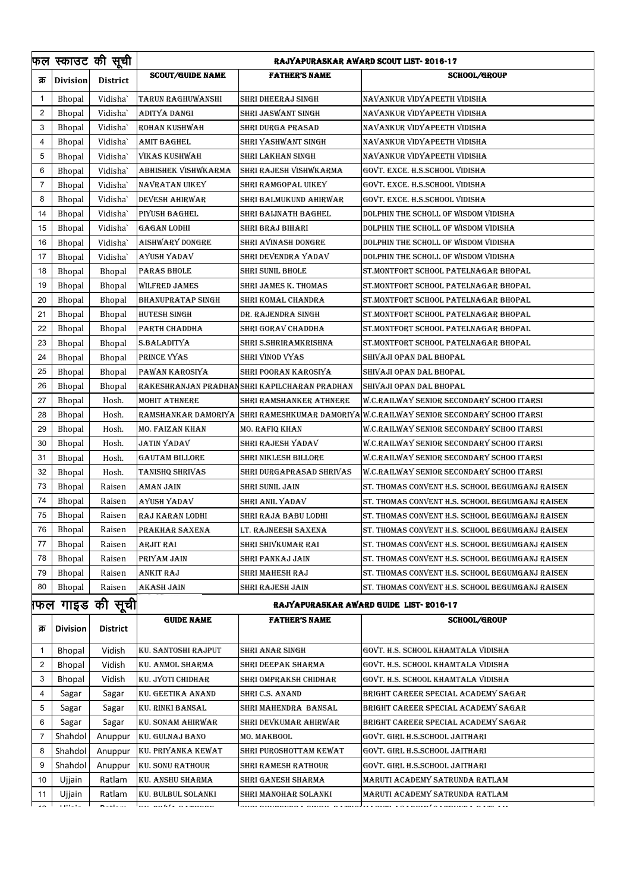|              |                 | फल स्काउट की सू <mark>ची</mark> | RAJYAPURASKAR AWARD SCOUT LIST- 2016-17 |                                              |                                                                                         |  |
|--------------|-----------------|---------------------------------|-----------------------------------------|----------------------------------------------|-----------------------------------------------------------------------------------------|--|
| क्र          | <b>Division</b> | District                        | <b>SCOUT/GUIDE NAME</b>                 | <b>FATHER'S NAME</b>                         | <b>SCHOOL/GROUP</b>                                                                     |  |
| -1           | Bhopal          | Vidisha                         | TARUN RAGHUWANSHI                       | SHRI DHEERAJ SINGH                           | NAVANKUR VIDYAPEETH VIDISHA                                                             |  |
| 2            | Bhopal          | Vidisha                         | ADITYA DANGI                            | SHRI JASWANT SINGH                           | NAVANKUR VIDYAPEETH VIDISHA                                                             |  |
| 3            | <b>Bhopal</b>   | Vidisha                         | ROHAN KUSHWAH                           | SHRI DURGA PRASAD                            | NAVANKUR VIDYAPEETH VIDISHA                                                             |  |
| 4            | Bhopal          | Vidisha                         | <b>AMIT BAGHEL</b>                      | SHRI YASHWANT SINGH                          | NAVANKUR VIDYAPEETH VIDISHA                                                             |  |
| 5            | Bhopal          | Vidisha                         | <b>VIKAS KUSHWAH</b>                    | SHRI LAKHAN SINGH                            | NAVANKUR VIDYAPEETH VIDISHA                                                             |  |
| 6            | Bhopal          | Vidisha                         | ABHISHEK VISHWKARMA                     | SHRI RAJESH VISHWKARMA                       | GOVT. EXCE. H.S.SCHOOL VIDISHA                                                          |  |
| 7            | <b>Bhopal</b>   | Vidisha                         | <b>NAVRATAN UIKEY</b>                   | SHRI RAMGOPAL UIKEY                          | GOVT, EXCE, H.S.SCHOOL VIDISHA                                                          |  |
| 8            | Bhopal          | Vidisha                         | DEVESH AHIRWAR                          | SHRI BALMUKUND AHIRWAR                       | GOVT. EXCE. H.S.SCHOOL VIDISHA                                                          |  |
| 14           | Bhopal          | Vidisha                         | PIYUSH BAGHEL                           | SHRI BAIJNATH BAGHEL                         | DOLPHIN THE SCHOLL OF WISDOM VIDISHA                                                    |  |
| 15           | Bhopal          | Vidisha                         | <b>GAGAN LODHI</b>                      | SHRI BRAJ BIHARI                             | DOLPHIN THE SCHOLL OF WISDOM VIDISHA                                                    |  |
| 16           | <b>Bhopal</b>   | Vidisha                         | AISHWARY DONGRE                         | SHRI AVINASH DONGRE                          | DOLPHIN THE SCHOLL OF WISDOM VIDISHA                                                    |  |
| 17           | Bhopal          | Vidisha                         | AYUSH YADAV                             | shri devendra yadav                          | DOLPHIN THE SCHOLL OF WISDOM VIDISHA                                                    |  |
| 18           | Bhopal          | Bhopal                          | PARAS BHOLE                             | <b>SHRI SUNIL BHOLE</b>                      | ST.MONTFORT SCHOOL PATELNAGAR BHOPAL                                                    |  |
| 19           | Bhopal          | Bhopal                          | <b>WILFRED JAMES</b>                    | SHRI JAMES K. THOMAS                         | ST.MONTFORT SCHOOL PATELNAGAR BHOPAL                                                    |  |
| 20           | Bhopal          | Bhopal                          | <b>BHANUPRATAP SINGH</b>                | SHRI KOMAL CHANDRA                           | ST.MONTFORT SCHOOL PATELNAGAR BHOPAL                                                    |  |
| 21           | Bhopal          | Bhopal                          | <b>HUTESH SINGH</b>                     | DR. RAJENDRA SINGH                           | ST.MONTFORT SCHOOL PATELNAGAR BHOPAL                                                    |  |
| 22           | Bhopal          | Bhopal                          | PARTH CHADDHA                           | SHRI GORAV CHADDHA                           | ST.MONTFORT SCHOOL PATELNAGAR BHOPAL                                                    |  |
| 23           | Bhopal          | Bhopal                          | S.BALADITYA                             | SHRI S.SHRIRAMKRISHNA                        | ST.MONTFORT SCHOOL PATELNAGAR BHOPAL                                                    |  |
| 24           | Bhopal          | <b>Bhopal</b>                   | PRINCE VYAS                             | SHRI VINOD VYAS                              | SHIVAJI OPAN DAL BHOPAL                                                                 |  |
| 25           | Bhopal          | Bhopal                          | PAWAN KAROSIYA                          | SHRI POORAN KAROSIYA                         | SHIVAJI OPAN DAL BHOPAL                                                                 |  |
| 26           | Bhopal          | Bhopal                          |                                         | RAKESHRANJAN PRADHANSHRI KAPILCHARAN PRADHAN | SHIVAJI OPAN DAL BHOPAL                                                                 |  |
| 27           | Bhopal          | Hosh.                           | <b>MOHIT ATHNERE</b>                    | SHRI RAMSHANKER ATHNERE                      | W.C.RAILWAY SENIOR SECONDARY SCHOO ITARSI                                               |  |
| 28           | Bhopal          | Hosh.                           |                                         |                                              | RAMSHANKAR DAMORIYA SHRI RAMESHKUMAR DAMORIYA W.C.RAILWAY SENIOR SECONDARY SCHOO ITARSI |  |
| 29           | Bhopal          | Hosh.                           | MO. FAIZAN KHAN                         | MO. RAFIQ KHAN                               | W.C.RAILWAY SENIOR SECONDARY SCHOO ITARSI                                               |  |
| 30           | Bhopal          | Hosh.                           | <b>JATIN YADAV</b>                      | shri rajesh Yadav                            | W.C.RAILWAY SENIOR SECONDARY SCHOO ITARSI                                               |  |
| 31           | <b>Bhopal</b>   | Hosh.                           | <b>GAUTAM BILLORE</b>                   | SHRI NIKLESH BILLORE                         | W.C.RAILWAY SENIOR SECONDARY SCHOO ITARSI                                               |  |
| 32           | Bhopal          | Hosh.                           | TANISHQ SHRIVAS                         | SHRI DURGAPRASAD SHRIVAS                     | W.C.RAILWAY SENIOR SECONDARY SCHOO ITARSI                                               |  |
| 73           | Bhopal          | Raisen                          | AMAN JAIN                               | SHRI SUNIL JAIN                              | ST. THOMAS CONVENT H.S. SCHOOL BEGUMGANJ RAISEN                                         |  |
| 74           | Bhopal          | Raisen                          | AYUSH YADAV                             | shri anil Yadav                              | ST. THOMAS CONVENT H.S. SCHOOL BEGUMGANJ RAISEN                                         |  |
| 75           | Bhopal          | Raisen                          | <b>RAJ KARAN LODHI</b>                  | SHRI RAJA BABU LODHI                         | ST. THOMAS CONVENT H.S. SCHOOL BEGUMGANJ RAISEN                                         |  |
| 76           | Bhopal          | Raisen                          | PRAKHAR SAXENA                          | LT. RAJNEESH SAXENA                          | ST. THOMAS CONVENT H.S. SCHOOL BEGUMGANJ RAISEN                                         |  |
| 77           | Bhopal          | Raisen                          | ARJIT RAI                               | SHRI SHIVKUMAR RAI                           | ST. THOMAS CONVENT H.S. SCHOOL BEGUMGANJ RAISEN                                         |  |
| 78           | Bhopal          | Raisen                          | PRIYAM JAIN                             | SHRI PANKAJ JAIN                             | ST. THOMAS CONVENT H.S. SCHOOL BEGUMGANJ RAISEN                                         |  |
| 79           | Bhopal          | Raisen                          | ANKIT RAJ                               | SHRI MAHESH RAJ                              | ST. THOMAS CONVENT H.S. SCHOOL BEGUMGANJ RAISEN                                         |  |
| 80           | Bhopal          | Raisen                          | AKASH JAIN                              | SHRI RAJESH JAIN                             | ST. THOMAS CONVENT H.S. SCHOOL BEGUMGANJ RAISEN                                         |  |
|              |                 |                                 |                                         |                                              |                                                                                         |  |
| फल           | गाइड            | की सूची                         | RAJYAPURASKAR AWARD GUIDE LIST-2016-17  |                                              |                                                                                         |  |
| क्र          | <b>Division</b> | <b>District</b>                 | <b>GUIDE NAME</b>                       | <b>FATHER'S NAME</b>                         | <b>SCHOOL/GROUP</b>                                                                     |  |
| $\mathbf{1}$ | <b>Bhopal</b>   | Vidish                          | KU. SANTOSHI RAJPUT                     | SHRI ANAR SINGH                              | GOVT. H.S. SCHOOL KHAMTALA VIDISHA                                                      |  |
| 2            | <b>Bhopal</b>   | Vidish                          | KU. ANMOL SHARMA                        | SHRI DEEPAK SHARMA                           | GOVT. H.S. SCHOOL KHAMTALA VIDISHA                                                      |  |
| 3            | <b>Bhopal</b>   | Vidish                          | KU. JYOTI CHIDHAR                       | SHRI OMPRAKSH CHIDHAR                        | GOVT. H.S. SCHOOL KHAMTALA VIDISHA                                                      |  |
| 4            | Sagar           | Sagar                           | KU. GEETIKA ANAND                       | SHRI C.S. ANAND                              | BRIGHT CAREER SPECIAL ACADEMY SAGAR                                                     |  |
| 5            | Sagar           | Sagar                           | <b>KU. RINKI BANSAL</b>                 | SHRI MAHENDRA BANSAL                         | BRIGHT CAREER SPECIAL ACADEMY SAGAR                                                     |  |
| 6            | Sagar           | Sagar                           | KU. SONAM AHIRWAR                       | SHRI DEVKUMAR AHIRWAR                        | BRIGHT CAREER SPECIAL ACADEMY SAGAR                                                     |  |
| 7            | Shahdol         | Anuppur                         | KU. GULNAJ BANO                         | MO. MAKBOOL                                  | GOVT. GIRL H.S.SCHOOL JAITHARI                                                          |  |
| 8            | Shahdol         | Anuppur                         | KU. PRIYANKA KEWAT                      | SHRI PUROSHOTTAM KEWAT                       | GOVT. GIRL H.S.SCHOOL JAITHARI                                                          |  |
| 9            | Shahdol         | Anuppur                         | <b>KU. SONU RATHOUR</b>                 | SHRI RAMESH RATHOUR                          | GOVT. GIRL H.S.SCHOOL JAITHARI                                                          |  |
| 10           | Ujjain          | Ratlam                          | KU. ANSHU SHARMA                        | SHRI GANESH SHARMA                           | MARUTI ACADEMY SATRUNDA RATLAM                                                          |  |
| 11           | Ujjain          | Ratlam                          | KU. BULBUL SOLANKI                      | SHRI MANOHAR SOLANKI                         | MARUTI ACADEMY SATRUNDA RATLAM                                                          |  |
|              | $\cdots$        | $\sim$ 100 $\pm$                | 1                                       |                                              |                                                                                         |  |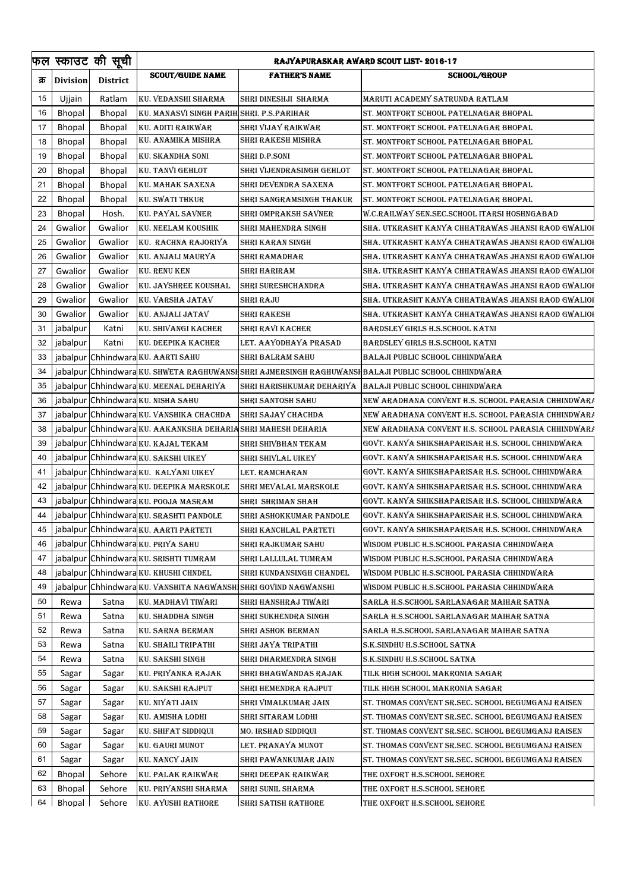|      |                 | फल स्काउट की सूची | RAJYAPURASKAR AWARD SCOUT LIST- 2016-17    |                            |                                                            |  |
|------|-----------------|-------------------|--------------------------------------------|----------------------------|------------------------------------------------------------|--|
| क्र  | <b>Division</b> | <b>District</b>   | <b>SCOUT/GUIDE NAME</b>                    | <b>FATHER'S NAME</b>       | <b>SCHOOL/GROUP</b>                                        |  |
| 15   | Ujjain          | Ratlam            | KU. VEDANSHI SHARMA                        | SHRI DINESHJI SHARMA       | MARUTI ACADEMY SATRUNDA RATLAM                             |  |
| 16   | Bhopal          | <b>Bhopal</b>     | KU. MANASVI SINGH PARIH SHRI. P.S.PARIHAR  |                            | ST. MONTFORT SCHOOL PATELNAGAR BHOPAL                      |  |
| 17   | <b>Bhopal</b>   | <b>Bhopal</b>     | KU. ADITI RAIKWAR                          | SHRI VIJAY RAIKWAR         | ST. MONTFORT SCHOOL PATELNAGAR BHOPAL                      |  |
| 18   | <b>Bhopal</b>   | <b>Bhopal</b>     | KU. ANAMIKA MISHRA                         | SHRI RAKESH MISHRA         | ST. MONTFORT SCHOOL PATELNAGAR BHOPAL                      |  |
| 19   | Bhopal          | <b>Bhopal</b>     | KU. SKANDHA SONI                           | <b>SHRI D.P.SONI</b>       | ST. MONTFORT SCHOOL PATELNAGAR BHOPAL                      |  |
| 20   | <b>Bhopal</b>   | <b>Bhopal</b>     | KU. TANVI GEHLOT                           | SHRI VIJENDRASINGH GEHLOT  | ST. MONTFORT SCHOOL PATELNAGAR BHOPAL                      |  |
| 21   | <b>Bhopal</b>   | <b>Bhopal</b>     | KU. MAHAK SAXENA                           | SHRI DEVENDRA SAXENA       | ST. MONTFORT SCHOOL PATELNAGAR BHOPAL                      |  |
| 22   | <b>Bhopal</b>   | <b>Bhopal</b>     | KU. SWATI THKUR                            | SHRI SANGRAMSINGH THAKUR   | ST. MONTFORT SCHOOL PATELNAGAR BHOPAL                      |  |
| 23   | Bhopal          | Hosh.             | KU. PAYAL SAVNER                           | SHRI OMPRAKSH SAVNER       | W.C.RAILWAY SEN.SEC.SCHOOL ITARSI HOSHNGABAD               |  |
| 24   | Gwalior         | Gwalior           | KU. NEELAM KOUSHIK                         | SHRI MAHENDRA SINGH        | SHA. UTKRASHT KANYA CHHATRAWAS JHANSI RAOD GWALIOI         |  |
| 25   | Gwalior         | Gwalior           | KU. RACHNA RAJORIYA                        | SHRI KARAN SINGH           | SHA. UTKRASHT KANYA CHHATRAWAS JHANSI RAOD GWALIOI         |  |
| 26   | Gwalior         | Gwalior           | KU. ANJALI MAURYA                          | SHRI RAMADHAR              | SHA. UTKRASHT KANYA CHHATRAWAS JHANSI RAOD GWALIOI         |  |
| 27   | Gwalior         | Gwalior           | <b>KU. RENU KEN</b>                        | SHRI HARIRAM               | SHA. UTKRASHT KANYA CHHATRAWAS JHANSI RAOD GWALIOI         |  |
| 28   | Gwalior         | Gwalior           | KU. JAYSHREE KOUSHAL                       | <b>SHRI SURESHCHANDRA</b>  | SHA. UTKRASHT KANYA CHHATRAWAS JHANSI RAOD GWALIOI         |  |
| 29   | Gwalior         | Gwalior           | KU. VARSHA JATAV                           | SHRI RAJU                  | SHA. UTKRASHT KANYA CHHATRAWAS JHANSI RAOD GWALIOI         |  |
| 30   | Gwalior         | Gwalior           | KU. ANJALI JATAV                           | SHRI RAKESH                | SHA. UTKRASHT KANYA CHHATRAWAS JHANSI RAOD GWALIOI         |  |
| 31   | jabalpur        | Katni             | KU. SHIVANGI KACHER                        | SHRI RAVI KACHER           | BARDSLEY GIRLS H.S.SCHOOL KATNI                            |  |
| 32   | jabalpur        | Katni             | KU. DEEPIKA KACHER                         | LET. AAYODHAYA PRASAD      | BARDSLEY GIRLS H.S.SCHOOL KATNI                            |  |
| 33   |                 |                   | jabalpur Chhindwara KU. AARTI SAHU         | SHRI BALRAM SAHU           | BALAJI PUBLIC SCHOOL CHHINDWARA                            |  |
| 34   |                 |                   | jabalpur Chhindwara KU. SHWETA RAGHUWANS   |                            | HSHRI AJMERSINGH RAGHUWANSHBALAJI PUBLIC SCHOOL CHHINDWARA |  |
| 35   |                 |                   | jabalpur Chhindwara KU. MEENAL DEHARIYA    |                            | SHRI HARISHKUMAR DEHARIYA BALAJI PUBLIC SCHOOL CHHINDWARA  |  |
| 36   |                 |                   | jabalpur Chhindwara KU. NISHA SAHU         | <b>SHRI SANTOSH SAHU</b>   | NEW ARADHANA CONVENT H.S. SCHOOL PARASIA CHHINDWARA        |  |
| 37   |                 |                   | jabalpur Chhindwara KU. VANSHIKA CHACHDA   | SHRI SAJAY CHACHDA         | NEW ARADHANA CONVENT H.S. SCHOOL PARASIA CHHINDWARA        |  |
| 38   |                 |                   | jabalpur Chhindwara KU. AAKANKSHA DEHARI   | N SHRI MAHESH DEHARIA      | NEW ARADHANA CONVENT H.S. SCHOOL PARASIA CHHINDWARA        |  |
| 39   |                 |                   | jabalpur Chhindwara KU. KAJAL TEKAM        | SHRI SHIVBHAN TEKAM        | GOVT. KANYA SHIKSHAPARISAR H.S. SCHOOL CHHINDWARA          |  |
| 40   |                 |                   | jabalpur Chhindwara KU. SAKSHI UIKEY       | SHRI SHIVLAL UIKEY         | GOVT. KANYA SHIKSHAPARISAR H.S. SCHOOL CHHINDWARA          |  |
| 41   |                 |                   | jabalpur Chhindwara KU. KALYANI UIKEY      | LET. RAMCHARAN             | GOVT. KANYA SHIKSHAPARISAR H.S. SCHOOL CHHINDWARA          |  |
| 42   |                 |                   | jabalpur Chhindwara KU. DEEPIKA MARSKOLE   | SHRI MEVALAL MARSKOLE      | GOVT. KANYA SHIKSHAPARISAR H.S. SCHOOL CHHINDWARA          |  |
| 43   |                 |                   | jabalpur Chhindwara KU. POOJA MASRAM       | SHRI SHRIMAN SHAH          | GOVT. KANYA SHIKSHAPARISAR H.S. SCHOOL CHHINDWARA          |  |
| 44   |                 |                   | jabalpur Chhindwara KU. SRASHTI PANDOLE    | SHRI ASHOKKUMAR PANDOLE    | GOVT. KANYA SHIKSHAPARISAR H.S. SCHOOL CHHINDWARA          |  |
| 45   |                 |                   | jabalpur Chhindwara KU. AARTI PARTETI      | SHRI KANCHLAL PARTETI      | GOVT. KANYA SHIKSHAPARISAR H.S. SCHOOL CHHINDWARA          |  |
| 46   |                 |                   | jabalpur Chhindwara KU. PRIYA SAHU         | SHRI RAJKUMAR SAHU         | WISDOM PUBLIC H.S.SCHOOL PARASIA CHHINDWARA                |  |
| 47   |                 |                   | jabalpur Chhindwara KU. SRISHTI TUMRAM     | SHRI LALLULAL TUMRAM       | WISDOM PUBLIC H.S.SCHOOL PARASIA CHHINDWARA                |  |
| 48   |                 |                   | jabalpur Chhindwara KU. KHUSHI CHNDEL      | SHRI KUNDANSINGH CHANDEL   | WISDOM PUBLIC H.S.SCHOOL PARASIA CHHINDWARA                |  |
| 49   |                 |                   | jabalpur  Chhindwara KU. VANSHITA NAGWANSH | USHRI GOVIND NAGWANSHI     | WISDOM PUBLIC H.S.SCHOOL PARASIA CHHINDWARA                |  |
| 50   | Rewa            | Satna             | KU. MADHAVI TIWARI                         | SHRI HANSHRAJ TIWARI       | SARLA H.S.SCHOOL SARLANAGAR MAIHAR SATNA                   |  |
| 51   | Rewa            | Satna             | KU. SHADDHA SINGH                          | SHRI SUKHENDRA SINGH       | SARLA H.S.SCHOOL SARLANAGAR MAIHAR SATNA                   |  |
| 52   | Rewa            | Satna             | KU. SARNA BERMAN                           | SHRI ASHOK BERMAN          | SARLA H.S.SCHOOL SARLANAGAR MAIHAR SATNA                   |  |
| 53   | Rewa            | Satna             | KU. SHAILI TRIPATHI                        | SHRI JAYA TRIPATHI         | S.K.SINDHU H.S.SCHOOL SATNA                                |  |
| 54   | Rewa            | Satna             | KU. SAKSHI SINGH                           | SHRI DHARMENDRA SINGH      | S.K.SINDHU H.S.SCHOOL SATNA                                |  |
| 55   | Sagar           | Sagar             | KU. PRIYANKA RAJAK                         | SHRI BHAGWANDAS RAJAK      | TILK HIGH SCHOOL MAKRONIA SAGAR                            |  |
| 56   | Sagar           | Sagar             | KU. SAKSHI RAJPUT                          | SHRI HEMENDRA RAJPUT       | TILK HIGH SCHOOL MAKRONIA SAGAR                            |  |
| 57   | Sagar           | Sagar             | KU. NIYATI JAIN                            | SHRI VIMALKUMAR JAIN       | ST. THOMAS CONVENT SR.SEC. SCHOOL BEGUMGANJ RAISEN         |  |
| 58   | Sagar           | Sagar             | KU. AMISHA LODHI                           | SHRI SITARAM LODHI         | ST. THOMAS CONVENT SR.SEC. SCHOOL BEGUMGANJ RAISEN         |  |
| 59   | Sagar           |                   | KU. SHIFAT SIDDIQUI                        | MO. IRSHAD SIDDIQUI        | ST. THOMAS CONVENT SR.SEC. SCHOOL BEGUMGANJ RAISEN         |  |
| 60   | Sagar           | Sagar<br>Sagar    | KU. GAURI MUNOT                            | LET. PRANAYA MUNOT         | ST. THOMAS CONVENT SR.SEC. SCHOOL BEGUMGANJ RAISEN         |  |
| 61   | Sagar           | Sagar             | KU. NANCY JAIN                             | SHRI PAWANKUMAR JAIN       | ST. THOMAS CONVENT SR.SEC. SCHOOL BEGUMGANJ RAISEN         |  |
| 62   | Bhopal          | Sehore            | KU. PALAK RAIKWAR                          | SHRI DEEPAK RAIKWAR        | THE OXFORT H.S.SCHOOL SEHORE                               |  |
| 63   | <b>Bhopal</b>   | Sehore            | KU. PRIYANSHI SHARMA                       | SHRI SUNIL SHARMA          | THE OXFORT H.S.SCHOOL SEHORE                               |  |
| 64 l | Bhopal          | Sehore            | <b>KU. AYUSHI RATHORE</b>                  | <b>SHRI SATISH RATHORE</b> | THE OXFORT H.S.SCHOOL SEHORE                               |  |
|      |                 |                   |                                            |                            |                                                            |  |